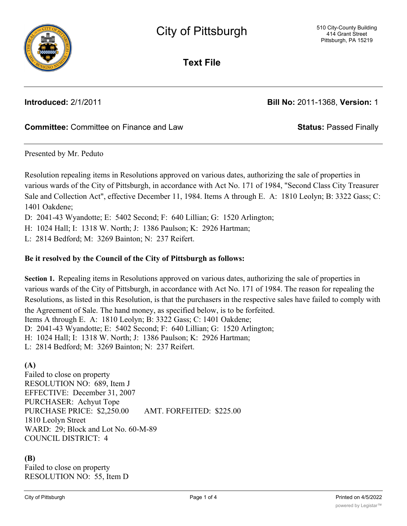

**Text File**

**Introduced:** 2/1/2011 **Bill No:** 2011-1368, **Version:** 1

# **Committee:** Committee on Finance and Law **Status:** Passed Finally

Presented by Mr. Peduto

Resolution repealing items in Resolutions approved on various dates, authorizing the sale of properties in various wards of the City of Pittsburgh, in accordance with Act No. 171 of 1984, "Second Class City Treasurer Sale and Collection Act", effective December 11, 1984. Items A through E. A: 1810 Leolyn; B: 3322 Gass; C: 1401 Oakdene;

D: 2041-43 Wyandotte; E: 5402 Second; F: 640 Lillian; G: 1520 Arlington;

H: 1024 Hall; I: 1318 W. North; J: 1386 Paulson; K: 2926 Hartman;

L: 2814 Bedford; M: 3269 Bainton; N: 237 Reifert.

### **Be it resolved by the Council of the City of Pittsburgh as follows:**

**Section 1.** Repealing items in Resolutions approved on various dates, authorizing the sale of properties in various wards of the City of Pittsburgh, in accordance with Act No. 171 of 1984. The reason for repealing the Resolutions, as listed in this Resolution, is that the purchasers in the respective sales have failed to comply with the Agreement of Sale. The hand money, as specified below, is to be forfeited. Items A through E. A: 1810 Leolyn; B: 3322 Gass; C: 1401 Oakdene; D: 2041-43 Wyandotte; E: 5402 Second; F: 640 Lillian; G: 1520 Arlington; H: 1024 Hall; I: 1318 W. North; J: 1386 Paulson; K: 2926 Hartman; L: 2814 Bedford; M: 3269 Bainton; N: 237 Reifert.

# **(A)**

Failed to close on property RESOLUTION NO: 689, Item J EFFECTIVE: December 31, 2007 PURCHASER: Achyut Tope PURCHASE PRICE: \$2,250.00 AMT. FORFEITED: \$225.00 1810 Leolyn Street WARD: 29; Block and Lot No. 60-M-89 COUNCIL DISTRICT: 4

# **(B)**

Failed to close on property RESOLUTION NO: 55, Item D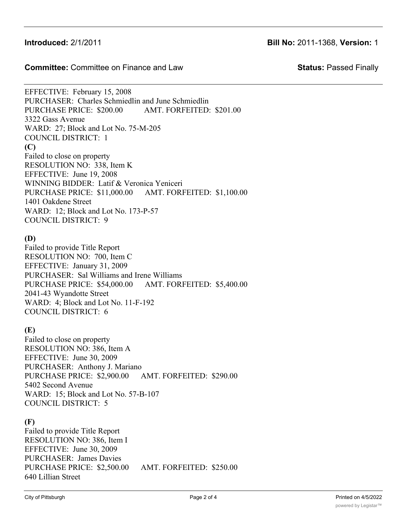**Committee:** Committee on Finance and Law **Status:** Passed Finally

EFFECTIVE: February 15, 2008 PURCHASER: Charles Schmiedlin and June Schmiedlin PURCHASE PRICE: \$200.00 AMT. FORFEITED: \$201.00 3322 Gass Avenue WARD: 27; Block and Lot No. 75-M-205 COUNCIL DISTRICT: 1 **(C)** Failed to close on property RESOLUTION NO: 338, Item K EFFECTIVE: June 19, 2008 WINNING BIDDER: Latif & Veronica Yeniceri PURCHASE PRICE: \$11,000.00 AMT. FORFEITED: \$1,100.00 1401 Oakdene Street WARD: 12; Block and Lot No. 173-P-57 COUNCIL DISTRICT: 9

## **(D)**

Failed to provide Title Report RESOLUTION NO: 700, Item C EFFECTIVE: January 31, 2009 PURCHASER: Sal Williams and Irene Williams PURCHASE PRICE: \$54,000.00 AMT. FORFEITED: \$5,400.00 2041-43 Wyandotte Street WARD: 4; Block and Lot No. 11-F-192 COUNCIL DISTRICT: 6

# **(E)**

Failed to close on property RESOLUTION NO: 386, Item A EFFECTIVE: June 30, 2009 PURCHASER: Anthony J. Mariano PURCHASE PRICE: \$2,900.00 AMT. FORFEITED: \$290.00 5402 Second Avenue WARD: 15; Block and Lot No. 57-B-107 COUNCIL DISTRICT: 5

# **(F)**

Failed to provide Title Report RESOLUTION NO: 386, Item I EFFECTIVE: June 30, 2009 PURCHASER: James Davies PURCHASE PRICE: \$2,500.00 AMT. FORFEITED: \$250.00 640 Lillian Street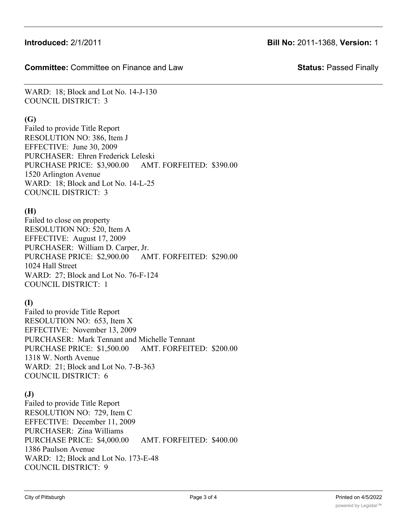**Committee:** Committee on Finance and Law **Status:** Passed Finally

WARD: 18; Block and Lot No. 14-J-130 COUNCIL DISTRICT: 3

### **(G)**

Failed to provide Title Report RESOLUTION NO: 386, Item J EFFECTIVE: June 30, 2009 PURCHASER: Ehren Frederick Leleski PURCHASE PRICE: \$3,900.00 AMT. FORFEITED: \$390.00 1520 Arlington Avenue WARD: 18; Block and Lot No. 14-L-25 COUNCIL DISTRICT: 3

## **(H)**

Failed to close on property RESOLUTION NO: 520, Item A EFFECTIVE: August 17, 2009 PURCHASER: William D. Carper, Jr. PURCHASE PRICE: \$2,900.00 AMT. FORFEITED: \$290.00 1024 Hall Street WARD: 27; Block and Lot No. 76-F-124 COUNCIL DISTRICT: 1

# **(I)**

Failed to provide Title Report RESOLUTION NO: 653, Item X EFFECTIVE: November 13, 2009 PURCHASER: Mark Tennant and Michelle Tennant PURCHASE PRICE: \$1,500.00 AMT. FORFEITED: \$200.00 1318 W. North Avenue WARD: 21; Block and Lot No. 7-B-363 COUNCIL DISTRICT: 6

# **(J)**

Failed to provide Title Report RESOLUTION NO: 729, Item C EFFECTIVE: December 11, 2009 PURCHASER: Zina Williams PURCHASE PRICE: \$4,000.00 AMT. FORFEITED: \$400.00 1386 Paulson Avenue WARD: 12; Block and Lot No. 173-E-48 COUNCIL DISTRICT: 9